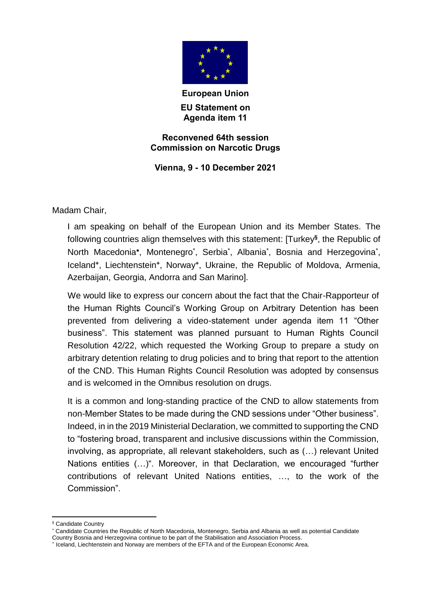

**European Union EU Statement on Agenda item 11**

## **Reconvened 64th session Commission on Narcotic Drugs**

**Vienna, 9 - 10 December 2021**

Madam Chair,

I am speaking on behalf of the European Union and its Member States. The following countries align themselves with this statement: [Turkey**§** , the Republic of North Macedonia\*, Montenegro\*, Serbia\*, Albania\*, Bosnia and Herzegovina\*, Iceland**<sup>+</sup>** , Liechtenstein**<sup>+</sup>** , Norway**<sup>+</sup>** , Ukraine, the Republic of Moldova, Armenia, Azerbaijan, Georgia, Andorra and San Marino].

We would like to express our concern about the fact that the Chair-Rapporteur of the Human Rights Council's Working Group on Arbitrary Detention has been prevented from delivering a video-statement under agenda item 11 "Other business". This statement was planned pursuant to Human Rights Council Resolution 42/22, which requested the Working Group to prepare a study on arbitrary detention relating to drug policies and to bring that report to the attention of the CND. This Human Rights Council Resolution was adopted by consensus and is welcomed in the Omnibus resolution on drugs.

It is a common and long-standing practice of the CND to allow statements from non-Member States to be made during the CND sessions under "Other business". Indeed, in in the 2019 Ministerial Declaration, we committed to supporting the CND to "fostering broad, transparent and inclusive discussions within the Commission, involving, as appropriate, all relevant stakeholders, such as (…) relevant United Nations entities (…)". Moreover, in that Declaration, we encouraged "further contributions of relevant United Nations entities, …, to the work of the Commission".

<sup>1</sup> § Candidate Country

Candidate Countries the Republic of North Macedonia, Montenegro, Serbia and Albania as well as potential Candidate Country Bosnia and Herzegovina continue to be part of the Stabilisation and Association Process.

<sup>+</sup> Iceland, Liechtenstein and Norway are members of the EFTA and of the European Economic Area.